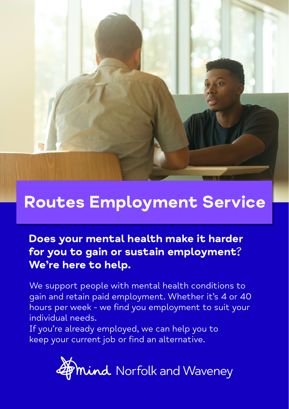

## Routes Employment Service

Does your mental health make it harder for you to gain or sustain employment? We're here to help.

We support people with mental health conditions to gain and retain paid employment. Whether it's 4 or 40 hours per week - we find you employment to suit your individual needs.

If you're already employed, we can help you to keep your current job or find an alternative.